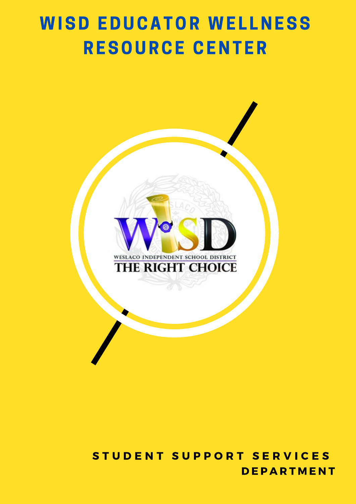# **WISD EDUCATOR WELLNESS** RESOURCE CENTER



**DEPARTMENT** STUDENT SUPPORT SERVICES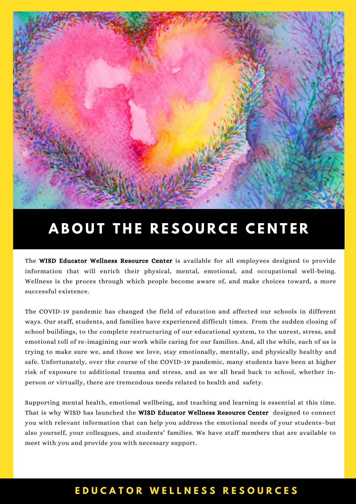

# **A B O U T T H E R E S O U R C E C E N T E R**

The WISD Educator Wellness Resource Center is available for all employees designed to provide information that will enrich their physical, mental, emotional, and occupational well-being. Wellness is the proces through which people become aware of, and make choices toward, a more successful existence.

The COVID-19 pandemic has changed the field of education and affected our schools in different ways. Our staff, students, and families have experienced difficult times. From the sudden closing of school buildings, to the complete restructuring of our educational system, to the unrest, stress, and emotional toll of re-imagining our work while caring for our families. And, all the while, each of us is trying to make sure we, and those we love, stay emotionally, mentally, and physically healthy and safe. Unfortunately, over the course of the COVID-19 pandemic, many students have been at higher risk of exposure to additional trauma and stress, and as we all head back to school, whether inperson or virtually, there are tremendous needs related to health and safety.

Supporting mental health, emotional wellbeing, and teaching and learning is essential at this time. That is why WISD has launched the WISD Educator Wellness Resource Center designed to connect you with relevant information that can help you address the emotional needs of your students–but also yourself, your colleagues, and students' families. We have staff members that are available to meet with you and provide you with necessary support.

#### **E D U C A T O R W E L L N E S S R E S O U R C E S**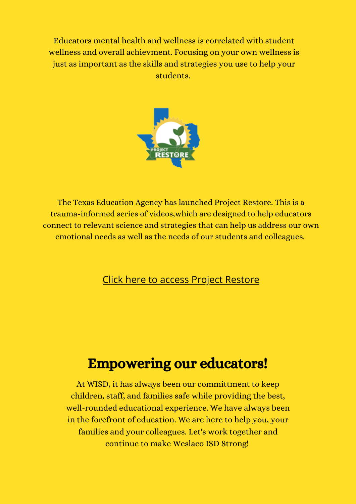Educators mental health and wellness is correlated with student wellness and overall achievment. Focusing on your own wellness is just as important as the skills and strategies you use to help your students.



The Texas Education Agency has launched Project Restore. This is a trauma-informed series of videos,which are designed to help educators connect to relevant science and strategies that can help us address our own emotional needs as well as the needs of our students and colleagues.

#### Click here to access Project [Restore](https://www.texasprojectrestore.org/)

# Empowering our educators!

At WISD, it has always been our committment to keep children, staff, and families safe while providing the best, well-rounded educational experience. We have always been in the forefront of education. We are here to help you, your families and your colleagues. Let's work together and continue to make Weslaco ISD Strong!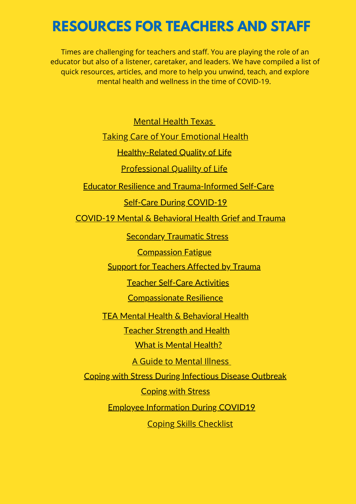# **RESOURCES FOR TEACHERS AND STAFF**

Times are challenging for teachers and staff. You are playing the role of an educator but also of a listener, caretaker, and leaders. We have compiled a list of quick resources, articles, and more to help you unwind, teach, and explore mental health and wellness in the time of COVID-19.

[Mental](https://mentalhealthtx.org/) Health Texas

Taking Care of Your [Emotional](https://emergency.cdc.gov/coping/selfcare.asp) Health

**[Healthy-Related](https://www.cdc.gov/hrqol/index.htm) Quality of Life** 

[Professional](https://proqol.org/) Qualilty of Life

Educator Resilience and [Trauma-Informed](https://gtlcenter.org/sites/default/files/Educator-Resilience-Trauma-Informed-Self-Care-Self-Assessment.pdf) Self-Care

Self-Care During [COVID-19](https://storage.trailstowellness.org/trails-2/covid-19-resources/self-care-during-covid-19-for-student-support-professionals.pdf)

[COVID-19](https://tea.texas.gov/sites/default/files/covid/covid-19_mh_resources_4.3.20.pdf) Mental & Behavioral Health Grief and Trauma

**[Secondary](https://www.acf.hhs.gov/trauma-toolkit/secondary-traumatic-stress) Traumatic Stress** 

[Compassion](http://tsaforschools.org/_static/tsa/uploads/files/self-carenctsn.pdf) Fatigue

Support for [Teachers](https://statprogram.org/) Affected by Trauma

Teacher [Self-Care](https://www.waterford.org/education/teacher-self-care-activities/) Activities

[Compassionate](https://compassionresiliencetoolkit.org/schools/a-toolkit-for-schools/) Resilience

TEA Mental Health & [Behavioral](https://tea.texas.gov/about-tea/other-services/mental-health/mental-health-and-behavioral-health) Health

Teacher [Strength](https://mhttcnetwork.org/centers/global-mhttc/school-mental-health-resources) and Health

What is Mental [Health?](https://www.mentalhealth.gov/)

A Guide to [Mental](https://online.maryville.edu/blog/-a-guide-to-childrens-mental-health/) Illness

Coping with Stress During [Infectious](https://www.wisd.us/uploaded/Central_Office/Student_Support_Services/Forms/Coping_with_Stress_During_Infectious_Disease_Outbreak.pdf) Disease Outbreak

[Coping](https://www.cdc.gov/coronavirus/2019-ncov/daily-life-coping/managing-stress-anxiety.html?CDC_AA_refVal=https%3A%2F%2Fwww.cdc.gov%2Fcoronavirus%2F2019-ncov%2Fprepare%2Fmanaging-stress-anxiety.html) with Stress

Employee [Information](https://www.quantumworkplace.com/en/engaging-employees-coronavirus-pandemic) During COVID19

Coping Skills [Checklist](https://www.vestal.stier.org/Downloads/Coping_checklist.pdf)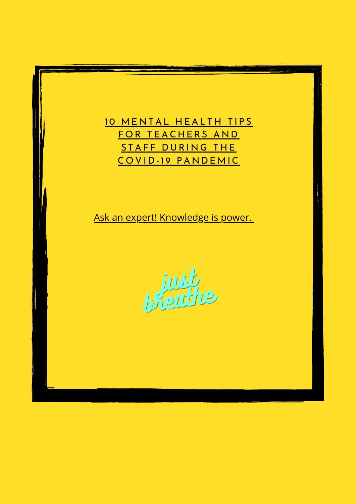#### 10 MENTAL HEALTH TIPS FOR TEACHERS AND STAFF DURING THE COVID-19 PANDEM[IC](https://everfi.com/blog/k-12/10-ways-educators-can-support-their-mental-health/)

Ask an expert! [Knowledge](https://www.virusanxiety.com/ask-an-expert-1) is power[.](https://www.virusanxiety.com/ask-an-expert-1)